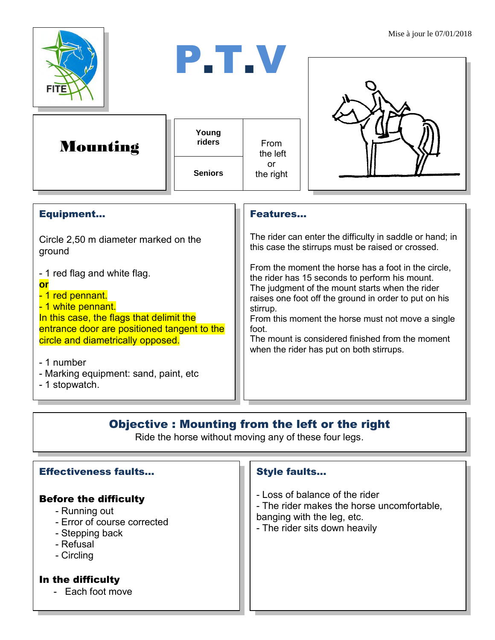





| Young          | From            |
|----------------|-----------------|
| riders         | the left        |
| <b>Seniors</b> | nr<br>the right |



| The rider can enter the difficulty in saddle or hand; in<br>this case the stirrups must be raised or crossed.                                                                                                                                                                                                                                                                               |
|---------------------------------------------------------------------------------------------------------------------------------------------------------------------------------------------------------------------------------------------------------------------------------------------------------------------------------------------------------------------------------------------|
| From the moment the horse has a foot in the circle,<br>the rider has 15 seconds to perform his mount.<br>The judgment of the mount starts when the rider<br>raises one foot off the ground in order to put on his<br>stirrup.<br>From this moment the horse must not move a single<br>foot.<br>The mount is considered finished from the moment<br>when the rider has put on both stirrups. |
|                                                                                                                                                                                                                                                                                                                                                                                             |
|                                                                                                                                                                                                                                                                                                                                                                                             |

## Objective : Mounting from the left or the right

Ride the horse without moving any of these four legs.

| <b>Effectiveness faults</b>                                                                                                | <b>Style faults</b>                                                                                                                         |
|----------------------------------------------------------------------------------------------------------------------------|---------------------------------------------------------------------------------------------------------------------------------------------|
| <b>Before the difficulty</b><br>- Running out<br>- Error of course corrected<br>- Stepping back<br>- Refusal<br>- Circling | - Loss of balance of the rider<br>- The rider makes the horse uncomfortable,<br>banging with the leg, etc.<br>- The rider sits down heavily |
| In the difficulty<br>- Each foot move                                                                                      |                                                                                                                                             |